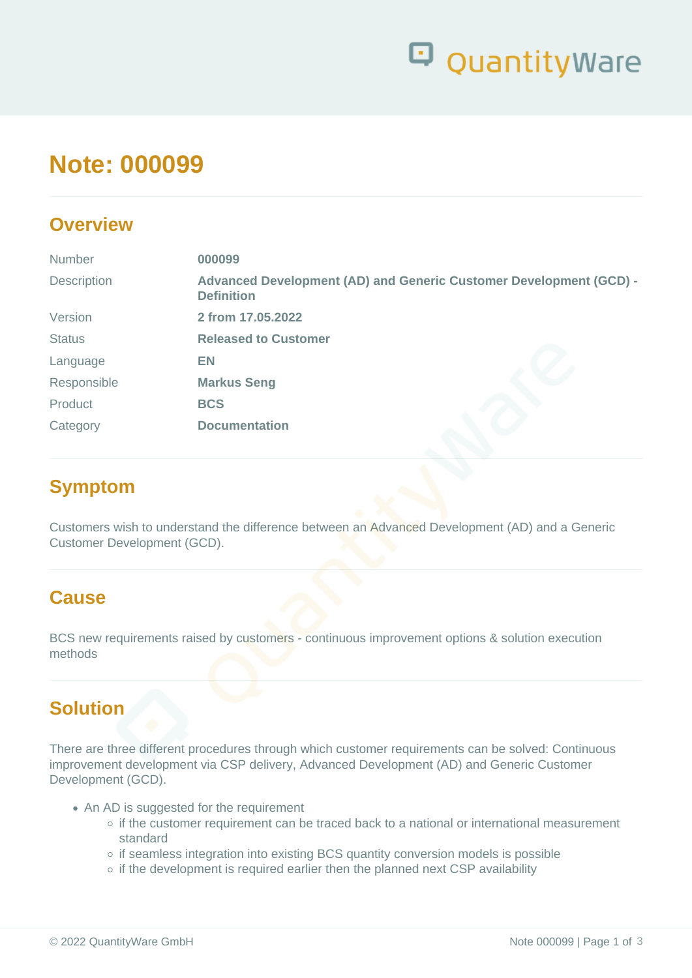

# **Note: 000099**

### **Overview**

| Number        | 000099                                                                                  |
|---------------|-----------------------------------------------------------------------------------------|
| Description   | Advanced Development (AD) and Generic Customer Development (GCD) -<br><b>Definition</b> |
| Version       | 2 from 17.05.2022                                                                       |
| <b>Status</b> | <b>Released to Customer</b>                                                             |
| Language      | <b>EN</b>                                                                               |
| Responsible   | <b>Markus Seng</b>                                                                      |
| Product       | <b>BCS</b>                                                                              |
| Category      | <b>Documentation</b>                                                                    |

### **Symptom**

Customers wish to understand the difference between an Advanced Development (AD) and a Generic Customer Development (GCD).

### **Cause**

BCS new requirements raised by customers - continuous improvement options & solution execution methods

### **Solution**

There are three different procedures through which customer requirements can be solved: Continuous improvement development via CSP delivery, Advanced Development (AD) and Generic Customer Development (GCD).

- An AD is suggested for the requirement
	- o if the customer requirement can be traced back to a national or international measurement standard
	- o if seamless integration into existing BCS quantity conversion models is possible
	- $\circ$  if the development is required earlier then the planned next CSP availability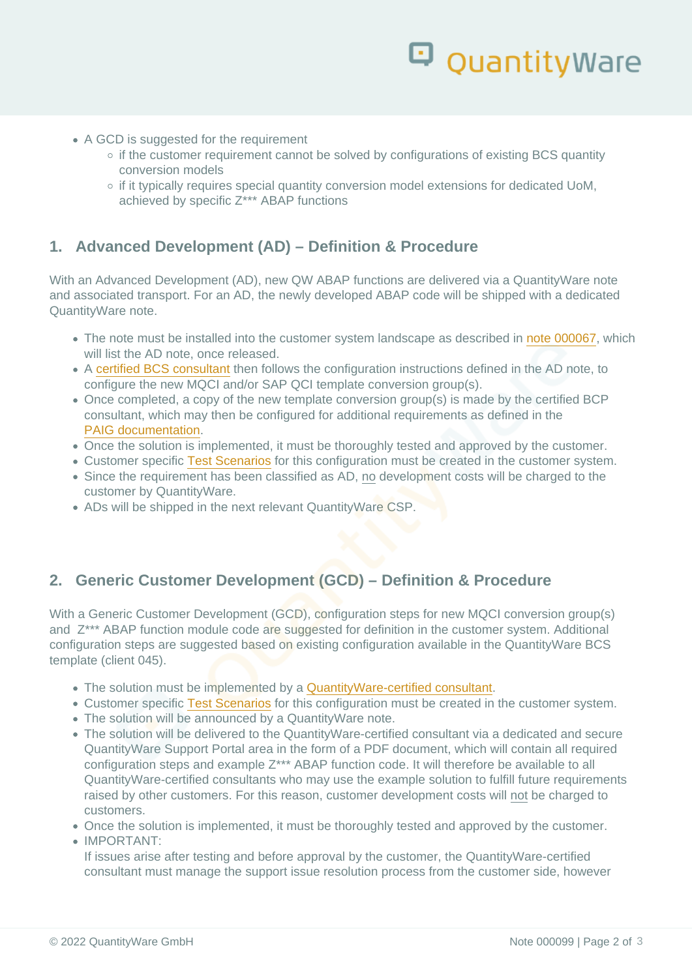- A GCD is suggested for the requirement
	- o if the customer requirement cannot be solved by configurations of existing BCS quantity conversion models
	- o if it typically requires special quantity conversion model extensions for dedicated UoM, achieved by specific Z\*\*\* ABAP functions

#### 1. Advanced Development (AD) – Definition & Procedure

With an Advanced Development (AD), new QW ABAP functions are delivered via a QuantityWare note and associated transport. For an AD, the newly developed ABAP code will be shipped with a dedicated QuantityWare note.

- The note must be installed into the customer system landscape as described in [note 000067](https://www.quantityware.com/wp-content/uploads/Note-000067.pdf), which will list the AD note, once released.
- A [certified BCS consultant](https://www.quantityware.com/support/certified-consultants/) then follows the configuration instructions defined in the AD note, to configure the new MQCI and/or SAP QCI template conversion group(s).
- Once completed, a copy of the new template conversion group(s) is made by the certified BCP consultant, which may then be configured for additional requirements as defined in the [PAIG documentation](https://www.quantityware.com/support/knowledge-base/?title=PAIG&type=Manuals).
- Once the solution is implemented, it must be thoroughly tested and approved by the customer.
- Customer specific [Test Scenarios](https://www.quantityware.com/wp-content/uploads/technote-000073.pdf?v=2017-08-03-04-58-13) for this configuration must be created in the customer system.
- Since the requirement has been classified as AD, no development costs will be charged to the customer by QuantityWare.
- ADs will be shipped in the next relevant QuantityWare CSP.

### 2. Generic Customer Development (GCD) – Definition & Procedure

With a Generic Customer Development (GCD), configuration steps for new MQCI conversion group(s) and Z\*\*\* ABAP function module code are suggested for definition in the customer system. Additional configuration steps are suggested based on existing configuration available in the QuantityWare BCS template (client 045).

- The solution must be implemented by a [QuantityWare-certified consultant.](https://www.quantityware.com/support/certified-consultants/)
- Customer specific [Test Scenarios](https://www.quantityware.com/wp-content/uploads/technote-000073.pdf?v=2017-08-03-04-58-13) for this configuration must be created in the customer system.
- The solution will be announced by a QuantityWare note.
- The solution will be delivered to the QuantityWare-certified consultant via a dedicated and secure QuantityWare Support Portal area in the form of a PDF document, which will contain all required configuration steps and example Z\*\*\* ABAP function code. It will therefore be available to all QuantityWare-certified consultants who may use the example solution to fulfill future requirements raised by other customers. For this reason, customer development costs will not be charged to customers.
- Once the solution is implemented, it must be thoroughly tested and approved by the customer.

#### IMPORTANT:

If issues arise after testing and before approval by the customer, the QuantityWare-certified consultant must manage the support issue resolution process from the customer side, however